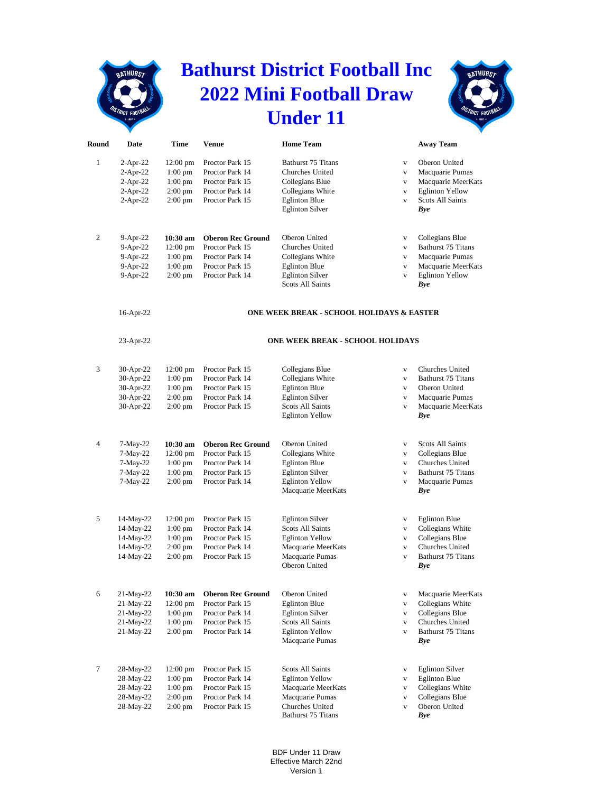## **Bathurst District Football Inc 2022 Mini Football Draw Under 11**

**BATHURST** 



| Round          | Date         | Time                                      | <b>Venue</b>                            | <b>Home Team</b>                                  |              | <b>Away Team</b>              |  |  |
|----------------|--------------|-------------------------------------------|-----------------------------------------|---------------------------------------------------|--------------|-------------------------------|--|--|
| 1              | $2-Apr-22$   | $12:00 \text{ pm}$                        | Proctor Park 15                         | <b>Bathurst 75 Titans</b>                         | $\mathbf{V}$ | Oberon United                 |  |  |
|                | $2-Apr-22$   | $1:00$ pm                                 | Proctor Park 14                         | Churches United                                   | $\mathbf{V}$ | Macquarie Pumas               |  |  |
|                | $2-Apr-22$   | $1:00$ pm                                 | Proctor Park 15                         | Collegians Blue                                   | $\mathbf{V}$ | Macquarie MeerKats            |  |  |
|                | $2-Apr-22$   | $2:00$ pm                                 | Proctor Park 14                         | Collegians White                                  | $\mathbf{V}$ | <b>Eglinton Yellow</b>        |  |  |
|                | 2-Apr-22     | $2:00 \text{ pm}$                         | Proctor Park 15                         | <b>Eglinton Blue</b>                              | $\mathbf{V}$ | <b>Scots All Saints</b>       |  |  |
|                |              |                                           |                                         | <b>Eglinton Silver</b>                            |              |                               |  |  |
|                |              |                                           |                                         |                                                   |              | Bye                           |  |  |
| 2              |              |                                           | <b>Oberon Rec Ground</b>                | Oberon United                                     |              |                               |  |  |
|                | $9-Apr-22$   | 10:30 am                                  |                                         |                                                   | $\mathbf{V}$ | Collegians Blue               |  |  |
|                | 9-Apr-22     | $12:00 \text{ pm}$                        | Proctor Park 15                         | Churches United                                   | $\mathbf{V}$ | Bathurst 75 Titans            |  |  |
|                | 9-Apr-22     | $1:00$ pm                                 | Proctor Park 14                         | Collegians White                                  | $\mathbf{V}$ | Macquarie Pumas               |  |  |
|                | 9-Apr-22     | $1:00$ pm                                 | Proctor Park 15                         | <b>Eglinton Blue</b>                              | $\mathbf{V}$ | Macquarie MeerKats            |  |  |
|                | $9-Apr-22$   | $2:00 \text{ pm}$                         | Proctor Park 14                         | <b>Eglinton Silver</b><br><b>Scots All Saints</b> | $\mathbf{V}$ | <b>Eglinton Yellow</b><br>Bye |  |  |
|                | 16-Apr-22    | ONE WEEK BREAK - SCHOOL HOLIDAYS & EASTER |                                         |                                                   |              |                               |  |  |
|                | 23-Apr-22    |                                           | <b>ONE WEEK BREAK - SCHOOL HOLIDAYS</b> |                                                   |              |                               |  |  |
|                |              |                                           |                                         |                                                   |              |                               |  |  |
| 3              | 30-Apr-22    | $12:00 \text{ pm}$                        | Proctor Park 15                         | Collegians Blue                                   | $\mathbf{V}$ | Churches United               |  |  |
|                | 30-Apr-22    | $1:00$ pm                                 | Proctor Park 14                         | Collegians White                                  | $\mathbf{V}$ | <b>Bathurst 75 Titans</b>     |  |  |
|                | 30-Apr-22    | 1:00 pm                                   | Proctor Park 15                         | <b>Eglinton Blue</b>                              | $\mathbf{V}$ | Oberon United                 |  |  |
|                | 30-Apr-22    | $2:00 \text{ pm}$                         | Proctor Park 14                         | <b>Eglinton Silver</b>                            | $\mathbf{V}$ | Macquarie Pumas               |  |  |
|                | 30-Apr-22    | 2:00 pm                                   | Proctor Park 15                         | <b>Scots All Saints</b>                           | $\mathbf{V}$ | Macquarie MeerKats            |  |  |
|                |              |                                           |                                         | <b>Eglinton Yellow</b>                            |              | <b>Bye</b>                    |  |  |
|                |              |                                           |                                         |                                                   |              |                               |  |  |
| $\overline{4}$ | $7-May-22$   | 10:30 am                                  | <b>Oberon Rec Ground</b>                | Oberon United                                     | $\mathbf{V}$ | <b>Scots All Saints</b>       |  |  |
|                | 7-May-22     | $12:00 \text{ pm}$                        | Proctor Park 15                         | Collegians White                                  | $\mathbf{V}$ | Collegians Blue               |  |  |
|                | 7-May-22     | $1:00$ pm                                 | Proctor Park 14                         | <b>Eglinton Blue</b>                              | $\mathbf{V}$ | <b>Churches United</b>        |  |  |
|                | 7-May-22     | $1:00$ pm                                 | Proctor Park 15                         | <b>Eglinton Silver</b>                            | $\mathbf{V}$ | <b>Bathurst 75 Titans</b>     |  |  |
|                | 7-May-22     | $2:00 \text{ pm}$                         | Proctor Park 14                         | <b>Eglinton Yellow</b>                            | $\mathbf{V}$ | Macquarie Pumas               |  |  |
|                |              |                                           |                                         | Macquarie MeerKats                                |              | <b>Bye</b>                    |  |  |
|                |              |                                           |                                         |                                                   |              |                               |  |  |
| 5              | $14$ -May-22 | $12:00 \text{ pm}$                        | Proctor Park 15                         | <b>Eglinton Silver</b>                            | $\mathbf{V}$ | <b>Eglinton Blue</b>          |  |  |
|                | 14-May-22    | $1:00$ pm                                 | Proctor Park 14                         | <b>Scots All Saints</b>                           | $\mathbf{V}$ | Collegians White              |  |  |
|                | 14-May-22    | $1:00~\mathrm{pm}$                        | Proctor Park 15                         | <b>Eglinton Yellow</b>                            | $\mathbf{V}$ | Collegians Blue               |  |  |
|                | 14-May-22    | $2:00$ pm                                 | Proctor Park 14                         | Macquarie MeerKats                                | $\mathbf{V}$ | Churches United               |  |  |
|                | 14-May-22    | $2:00 \text{ pm}$                         | Proctor Park 15                         | Macquarie Pumas                                   | $\mathbf{V}$ | <b>Bathurst 75 Titans</b>     |  |  |
|                |              |                                           |                                         | Oberon United                                     |              | <b>Bye</b>                    |  |  |
|                |              |                                           |                                         |                                                   |              |                               |  |  |
| 6              | 21-May-22    | 10:30 am                                  | <b>Oberon Rec Ground</b>                | Oberon United                                     | $\mathbf{V}$ | Macquarie MeerKats            |  |  |
|                | $21-May-22$  | $12:00 \text{ pm}$                        | Proctor Park 15                         | <b>Eglinton Blue</b>                              | $\mathbf{V}$ | Collegians White              |  |  |
|                | 21-May-22    | $1:00$ pm                                 | Proctor Park 14                         | <b>Eglinton Silver</b>                            | $\mathbf{V}$ | Collegians Blue               |  |  |
|                | 21-May-22    | $1:00$ pm                                 | Proctor Park 15                         | <b>Scots All Saints</b>                           | $\mathbf{V}$ | Churches United               |  |  |
|                | $21$ -May-22 | $2:00 \text{ pm}$                         | Proctor Park 14                         | <b>Eglinton Yellow</b>                            | $\mathbf{V}$ | <b>Bathurst 75 Titans</b>     |  |  |
|                |              |                                           |                                         | Macquarie Pumas                                   |              | Bye                           |  |  |
|                |              |                                           |                                         |                                                   |              |                               |  |  |
| 7              | 28-May-22    | $12:00 \text{ pm}$                        | Proctor Park 15                         | Scots All Saints                                  | $\mathbf{V}$ | <b>Eglinton Silver</b>        |  |  |
|                | 28-May-22    | $1:00$ pm                                 | Proctor Park 14                         | <b>Eglinton Yellow</b>                            | $\mathbf{V}$ | <b>Eglinton Blue</b>          |  |  |
|                | 28-May-22    | $1:00$ pm                                 | Proctor Park 15                         | Macquarie MeerKats                                | $\mathbf{V}$ | Collegians White              |  |  |
|                | 28-May-22    | 2:00 pm                                   | Proctor Park 14                         | Macquarie Pumas                                   | $\mathbf{V}$ | Collegians Blue               |  |  |
|                | 28-May-22    | $2:00 \text{ pm}$                         | Proctor Park 15                         | Churches United                                   | $\mathbf{V}$ | Oberon United                 |  |  |
|                |              |                                           |                                         | Bathurst 75 Titans                                |              | <b>Bye</b>                    |  |  |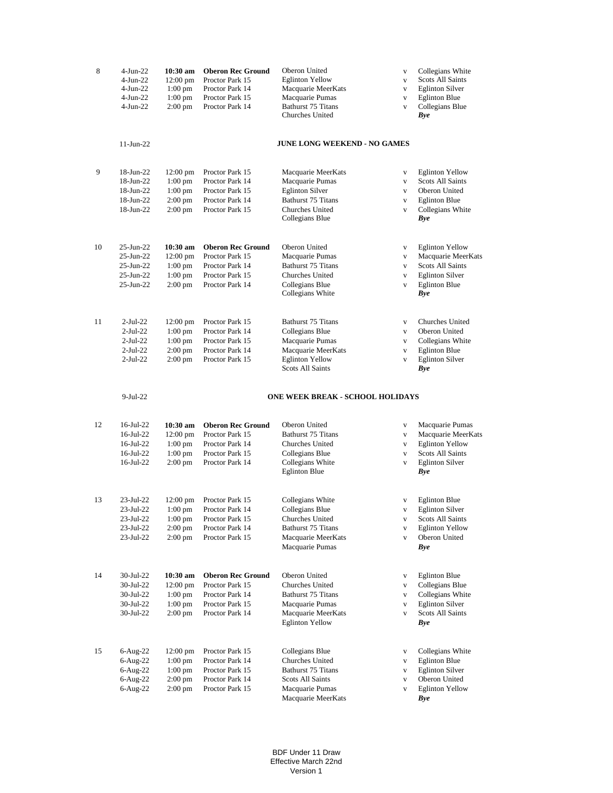| 8  | 4-Jun-22<br>$4-Jun-22$<br>$4-Jun-22$<br>4-Jun-22<br>$4-Jun-22$ | 10:30 am<br>12:00 pm<br>$1:00$ pm<br>$1:00$ pm<br>$2:00 \text{ pm}$ | <b>Oberon Rec Ground</b><br>Proctor Park 15<br>Proctor Park 14<br>Proctor Park 15<br>Proctor Park 14 | Oberon United<br><b>Eglinton Yellow</b><br>Macquarie MeerKats<br>Macquarie Pumas<br>Bathurst 75 Titans<br>Churches United | $\mathbf{V}$<br>$\mathbf{V}$<br>$\mathbf{V}$<br>$\mathbf{V}$<br>$\mathbf{V}$ | Collegians White<br><b>Scots All Saints</b><br><b>Eglinton Silver</b><br><b>Eglinton Blue</b><br>Collegians Blue<br><b>Bye</b> |
|----|----------------------------------------------------------------|---------------------------------------------------------------------|------------------------------------------------------------------------------------------------------|---------------------------------------------------------------------------------------------------------------------------|------------------------------------------------------------------------------|--------------------------------------------------------------------------------------------------------------------------------|
|    | $11$ -Jun-22                                                   |                                                                     |                                                                                                      | <b>JUNE LONG WEEKEND - NO GAMES</b>                                                                                       |                                                                              |                                                                                                                                |
| 9  | 18-Jun-22                                                      | $12:00 \text{ pm}$                                                  | Proctor Park 15                                                                                      | Macquarie MeerKats                                                                                                        | $\mathbf{V}$                                                                 | <b>Eglinton Yellow</b>                                                                                                         |
|    | 18-Jun-22                                                      | $1:00$ pm                                                           | Proctor Park 14                                                                                      | Macquarie Pumas                                                                                                           | $\mathbf{V}$                                                                 | <b>Scots All Saints</b>                                                                                                        |
|    | 18-Jun-22                                                      | $1:00$ pm                                                           | Proctor Park 15                                                                                      | <b>Eglinton Silver</b>                                                                                                    | $\mathbf{V}$                                                                 | Oberon United                                                                                                                  |
|    | 18-Jun-22                                                      | $2:00$ pm                                                           | Proctor Park 14                                                                                      | Bathurst 75 Titans<br>Churches United                                                                                     | $\mathbf{V}$                                                                 | <b>Eglinton Blue</b>                                                                                                           |
|    | 18-Jun-22                                                      | $2:00$ pm                                                           | Proctor Park 15                                                                                      | Collegians Blue                                                                                                           | $\mathbf{V}$                                                                 | Collegians White<br><b>Bye</b>                                                                                                 |
| 10 | 25-Jun-22                                                      | $10:30$ am                                                          | <b>Oberon Rec Ground</b>                                                                             | Oberon United                                                                                                             | $\mathbf{V}$                                                                 | <b>Eglinton Yellow</b>                                                                                                         |
|    | 25-Jun-22                                                      | $12:00 \text{ pm}$                                                  | Proctor Park 15                                                                                      | Macquarie Pumas                                                                                                           | $\mathbf{V}$                                                                 | Macquarie MeerKats                                                                                                             |
|    | 25-Jun-22                                                      | $1:00$ pm                                                           | Proctor Park 14                                                                                      | <b>Bathurst 75 Titans</b>                                                                                                 | $\mathbf{V}$                                                                 | <b>Scots All Saints</b>                                                                                                        |
|    | $25$ -Jun- $22$                                                | $1:00$ pm                                                           | Proctor Park 15                                                                                      | Churches United                                                                                                           | $\mathbf{V}$                                                                 | <b>Eglinton Silver</b>                                                                                                         |
|    | 25-Jun-22                                                      | $2:00$ pm                                                           | Proctor Park 14                                                                                      | Collegians Blue<br>Collegians White                                                                                       | $\mathbf{V}$                                                                 | <b>Eglinton Blue</b><br><b>Bye</b>                                                                                             |
| 11 | 2-Jul-22                                                       | $12:00 \text{ pm}$                                                  | Proctor Park 15                                                                                      | <b>Bathurst 75 Titans</b>                                                                                                 | $\mathbf{V}$                                                                 | Churches United                                                                                                                |
|    | 2-Jul-22                                                       | $1:00$ pm                                                           | Proctor Park 14                                                                                      | Collegians Blue                                                                                                           | $\mathbf{V}$                                                                 | Oberon United                                                                                                                  |
|    | 2-Jul-22                                                       | $1:00 \text{ pm}$                                                   | Proctor Park 15                                                                                      | Macquarie Pumas                                                                                                           | $\mathbf{V}$                                                                 | Collegians White                                                                                                               |
|    | 2-Jul-22                                                       | 2:00 pm                                                             | Proctor Park 14                                                                                      | Macquarie MeerKats                                                                                                        | $\mathbf{V}$                                                                 | <b>Eglinton Blue</b>                                                                                                           |
|    | 2-Jul-22                                                       | $2:00 \text{ pm}$                                                   | Proctor Park 15                                                                                      | <b>Eglinton Yellow</b><br><b>Scots All Saints</b>                                                                         | $\mathbf{V}$                                                                 | <b>Eglinton Silver</b><br><b>Bye</b>                                                                                           |
|    | $9-Jul-22$                                                     |                                                                     |                                                                                                      | <b>ONE WEEK BREAK - SCHOOL HOLIDAYS</b>                                                                                   |                                                                              |                                                                                                                                |
| 12 | 16-Jul-22                                                      | 10:30 am                                                            | <b>Oberon Rec Ground</b>                                                                             | Oberon United                                                                                                             | $\mathbf{V}$                                                                 | Macquarie Pumas                                                                                                                |
|    | 16-Jul-22                                                      | 12:00 pm                                                            | Proctor Park 15                                                                                      | <b>Bathurst 75 Titans</b>                                                                                                 | $\mathbf{V}$                                                                 | Macquarie MeerKats                                                                                                             |
|    | 16-Jul-22<br>16-Jul-22                                         | $1:00$ pm<br>$1:00$ pm                                              | Proctor Park 14<br>Proctor Park 15                                                                   | Churches United<br>Collegians Blue                                                                                        | $\mathbf{V}$                                                                 | <b>Eglinton Yellow</b><br><b>Scots All Saints</b>                                                                              |
|    | 16-Jul-22                                                      | $2:00 \text{ pm}$                                                   | Proctor Park 14                                                                                      | Collegians White                                                                                                          | $\mathbf{V}$<br>$\mathbf{V}$                                                 | <b>Eglinton Silver</b>                                                                                                         |
|    |                                                                |                                                                     |                                                                                                      | <b>Eglinton Blue</b>                                                                                                      |                                                                              | Bye                                                                                                                            |
| 13 | 23-Jul-22                                                      | 12:00 pm                                                            | Proctor Park 15                                                                                      | Collegians White                                                                                                          | $\mathbf{V}$                                                                 | <b>Eglinton Blue</b>                                                                                                           |
|    | 23-Jul-22                                                      | $1:00 \text{ pm}$                                                   | Proctor Park 14                                                                                      | Collegians Blue                                                                                                           | V                                                                            | <b>Eglinton Silver</b>                                                                                                         |
|    | 23-Jul-22                                                      | $1:00$ pm                                                           | Proctor Park 15                                                                                      | Churches United                                                                                                           | $\mathbf{V}$                                                                 | Scots All Saints                                                                                                               |
|    | 23-Jul-22                                                      | $2:00$ pm                                                           | Proctor Park 14                                                                                      | Bathurst 75 Titans                                                                                                        | $\mathbf{V}$                                                                 | <b>Eglinton Yellow</b>                                                                                                         |
|    | 23-Jul-22                                                      | $2:00 \text{ pm}$                                                   | Proctor Park 15                                                                                      | Macquarie MeerKats<br>Macquarie Pumas                                                                                     | $\mathbf{V}$                                                                 | Oberon United<br>Bye                                                                                                           |
| 14 | 30-Jul-22                                                      | 10:30 am                                                            | <b>Oberon Rec Ground</b>                                                                             | Oberon United                                                                                                             | $\mathbf{V}$                                                                 | <b>Eglinton Blue</b>                                                                                                           |
|    | 30-Jul-22                                                      | $12:00 \text{ pm}$                                                  | Proctor Park 15                                                                                      | Churches United                                                                                                           | $\mathbf{V}$                                                                 | Collegians Blue                                                                                                                |
|    | 30-Jul-22                                                      | $1:00 \text{ pm}$                                                   | Proctor Park 14                                                                                      | <b>Bathurst 75 Titans</b>                                                                                                 | $\mathbf{V}$                                                                 | Collegians White                                                                                                               |
|    | 30-Jul-22                                                      | $1:00$ pm                                                           | Proctor Park 15                                                                                      | Macquarie Pumas                                                                                                           | $\mathbf{V}$                                                                 | <b>Eglinton Silver</b>                                                                                                         |
|    | 30-Jul-22                                                      | $2:00$ pm                                                           | Proctor Park 14                                                                                      | Macquarie MeerKats<br><b>Eglinton Yellow</b>                                                                              | $\mathbf{V}$                                                                 | Scots All Saints<br>Bye                                                                                                        |
| 15 | $6$ -Aug-22                                                    | $12:00 \text{ pm}$                                                  | Proctor Park 15                                                                                      | Collegians Blue                                                                                                           | $\mathbf{V}$                                                                 | Collegians White                                                                                                               |
|    | $6$ -Aug-22                                                    | $1:00$ pm                                                           | Proctor Park 14                                                                                      | Churches United                                                                                                           | $\mathbf{V}$                                                                 | <b>Eglinton Blue</b>                                                                                                           |
|    | $6$ -Aug-22                                                    | $1:00$ pm                                                           | Proctor Park 15                                                                                      | Bathurst 75 Titans                                                                                                        | $\mathbf{V}$                                                                 | <b>Eglinton Silver</b>                                                                                                         |
|    | 6-Aug-22                                                       | $2:00 \text{ pm}$                                                   | Proctor Park 14                                                                                      | Scots All Saints                                                                                                          | $\mathbf{V}$                                                                 | Oberon United                                                                                                                  |
|    | 6-Aug-22                                                       | $2:00 \text{ pm}$                                                   | Proctor Park 15                                                                                      | Macquarie Pumas<br>Macquarie MeerKats                                                                                     | $\mathbf{V}$                                                                 | <b>Eglinton Yellow</b><br><b>Bye</b>                                                                                           |